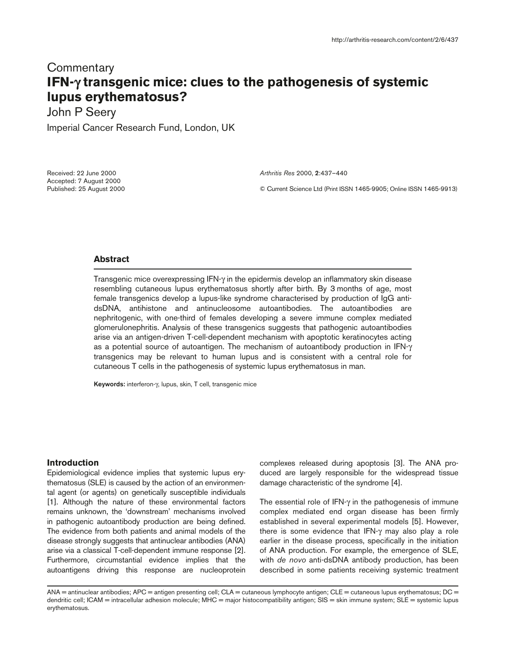# **Commentary IFN-**γ **transgenic mice: clues to the pathogenesis of systemic lupus erythematosus?**

John P Seery

Imperial Cancer Research Fund, London, UK

Received: 22 June 2000 Accepted: 7 August 2000 Published: 25 August 2000 *Arthritis Res* 2000, **2**:437–440

© Current Science Ltd (Print ISSN 1465-9905; Online ISSN 1465-9913)

## **Abstract**

Transgenic mice overexpressing IFN-γ in the epidermis develop an inflammatory skin disease resembling cutaneous lupus erythematosus shortly after birth. By 3 months of age, most female transgenics develop a lupus-like syndrome characterised by production of IgG antidsDNA, antihistone and antinucleosome autoantibodies. The autoantibodies are nephritogenic, with one-third of females developing a severe immune complex mediated glomerulonephritis. Analysis of these transgenics suggests that pathogenic autoantibodies arise via an antigen-driven T-cell-dependent mechanism with apoptotic keratinocytes acting as a potential source of autoantigen. The mechanism of autoantibody production in IFN-γ transgenics may be relevant to human lupus and is consistent with a central role for cutaneous T cells in the pathogenesis of systemic lupus erythematosus in man.

**Keywords:** interferon-γ, lupus, skin, T cell, transgenic mice

# **Introduction**

Epidemiological evidence implies that systemic lupus erythematosus (SLE) is caused by the action of an environmental agent (or agents) on genetically susceptible individuals [1]. Although the nature of these environmental factors remains unknown, the 'downstream' mechanisms involved in pathogenic autoantibody production are being defined. The evidence from both patients and animal models of the disease strongly suggests that antinuclear antibodies (ANA) arise via a classical T-cell-dependent immune response [2]. Furthermore, circumstantial evidence implies that the autoantigens driving this response are nucleoprotein

complexes released during apoptosis [3]. The ANA produced are largely responsible for the widespread tissue damage characteristic of the syndrome [4].

The essential role of IFN-γ in the pathogenesis of immune complex mediated end organ disease has been firmly established in several experimental models [5]. However, there is some evidence that IFN-γ may also play a role earlier in the disease process, specifically in the initiation of ANA production. For example, the emergence of SLE, with *de novo* anti-dsDNA antibody production, has been described in some patients receiving systemic treatment

ANA = antinuclear antibodies; APC = antigen presenting cell; CLA = cutaneous lymphocyte antigen; CLE = cutaneous lupus erythematosus; DC = dendritic cell; ICAM = intracellular adhesion molecule; MHC = major histocompatibility antigen; SIS = skin immune system; SLE = systemic lupus erythematosus.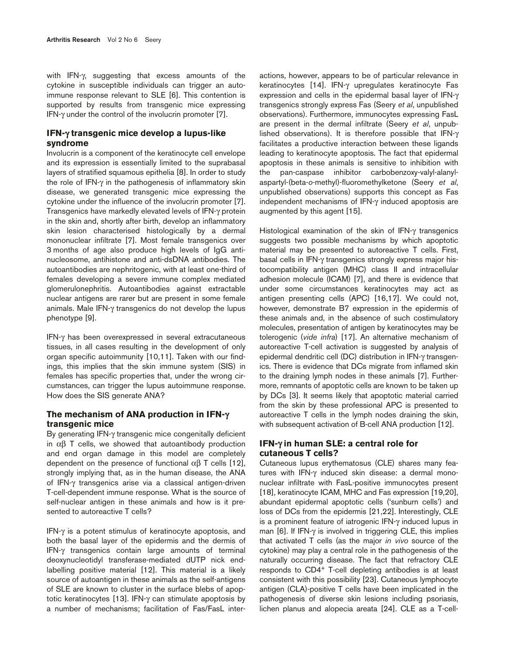with IFN-γ, suggesting that excess amounts of the cytokine in susceptible individuals can trigger an autoimmune response relevant to SLE [6]. This contention is supported by results from transgenic mice expressing IFN-γ under the control of the involucrin promoter [7].

## **IFN-**γ **transgenic mice develop a lupus-like syndrome**

Involucrin is a component of the keratinocyte cell envelope and its expression is essentially limited to the suprabasal layers of stratified squamous epithelia [8]. In order to study the role of IFN-γ in the pathogenesis of inflammatory skin disease, we generated transgenic mice expressing the cytokine under the influence of the involucrin promoter [7]. Transgenics have markedly elevated levels of IFN-γ protein in the skin and, shortly after birth, develop an inflammatory skin lesion characterised histologically by a dermal mononuclear infiltrate [7]. Most female transgenics over 3 months of age also produce high levels of IgG antinucleosome, antihistone and anti-dsDNA antibodies. The autoantibodies are nephritogenic, with at least one-third of females developing a severe immune complex mediated glomerulonephritis. Autoantibodies against extractable nuclear antigens are rarer but are present in some female animals. Male IFN-γ transgenics do not develop the lupus phenotype [9].

IFN-γ has been overexpressed in several extracutaneous tissues, in all cases resulting in the development of only organ specific autoimmunity [10,11]. Taken with our findings, this implies that the skin immune system (SIS) in females has specific properties that, under the wrong circumstances, can trigger the lupus autoimmune response. How does the SIS generate ANA?

# **The mechanism of ANA production in IFN-**γ **transgenic mice**

By generating IFN-γ transgenic mice congenitally deficient in  $\alpha\beta$  T cells, we showed that autoantibody production and end organ damage in this model are completely dependent on the presence of functional  $\alpha\beta$  T cells [12], strongly implying that, as in the human disease, the ANA of IFN-γ transgenics arise via a classical antigen-driven T-cell-dependent immune response. What is the source of self-nuclear antigen in these animals and how is it presented to autoreactive T cells?

IFN-γ is a potent stimulus of keratinocyte apoptosis, and both the basal layer of the epidermis and the dermis of IFN-γ transgenics contain large amounts of terminal deoxynucleotidyl transferase-mediated dUTP nick endlabelling positive material [12]. This material is a likely source of autoantigen in these animals as the self-antigens of SLE are known to cluster in the surface blebs of apoptotic keratinocytes [13]. IFN-γ can stimulate apoptosis by a number of mechanisms; facilitation of Fas/FasL interactions, however, appears to be of particular relevance in keratinocytes [14]. IFN-γ upregulates keratinocyte Fas expression and cells in the epidermal basal layer of IFN-γ transgenics strongly express Fas (Seery *et al*, unpublished observations). Furthermore, immunocytes expressing FasL are present in the dermal infiltrate (Seery *et al*, unpublished observations). It is therefore possible that IFN-γ facilitates a productive interaction between these ligands leading to keratinocyte apoptosis. The fact that epidermal apoptosis in these animals is sensitive to inhibition with the pan-caspase inhibitor carbobenzoxy-valyl-alanylaspartyl-(beta-*o*-methyl)-fluoromethylketone (Seery *et al*, unpublished observations) supports this concept as Fas independent mechanisms of IFN-γ induced apoptosis are augmented by this agent [15].

Histological examination of the skin of IFN-γ transgenics suggests two possible mechanisms by which apoptotic material may be presented to autoreactive T cells. First, basal cells in IFN-γ transgenics strongly express major histocompatibility antigen (MHC) class II and intracellular adhesion molecule (ICAM) [7], and there is evidence that under some circumstances keratinocytes may act as antigen presenting cells (APC) [16,17]. We could not, however, demonstrate B7 expression in the epidermis of these animals and, in the absence of such costimulatory molecules, presentation of antigen by keratinocytes may be tolerogenic (*vide infra*) [17]. An alternative mechanism of autoreactive T-cell activation is suggested by analysis of epidermal dendritic cell (DC) distribution in IFN-γ transgenics. There is evidence that DCs migrate from inflamed skin to the draining lymph nodes in these animals [7]. Furthermore, remnants of apoptotic cells are known to be taken up by DCs [3]. It seems likely that apoptotic material carried from the skin by these professional APC is presented to autoreactive T cells in the lymph nodes draining the skin, with subsequent activation of B-cell ANA production [12].

# **IFN-**γ **in human SLE: a central role for cutaneous T cells?**

Cutaneous lupus erythematosus (CLE) shares many features with IFN-γ induced skin disease: a dermal mononuclear infiltrate with FasL-positive immunocytes present [18], keratinocyte ICAM, MHC and Fas expression [19,20], abundant epidermal apoptotic cells ('sunburn cells') and loss of DCs from the epidermis [21,22]. Interestingly, CLE is a prominent feature of iatrogenic IFN-γ induced lupus in man [6]. If IFN-γ is involved in triggering CLE, this implies that activated T cells (as the major *in vivo* source of the cytokine) may play a central role in the pathogenesis of the naturally occurring disease. The fact that refractory CLE responds to CD4+ T-cell depleting antibodies is at least consistent with this possibility [23]. Cutaneous lymphocyte antigen (CLA)-positive T cells have been implicated in the pathogenesis of diverse skin lesions including psoriasis, lichen planus and alopecia areata [24]. CLE as a T-cell-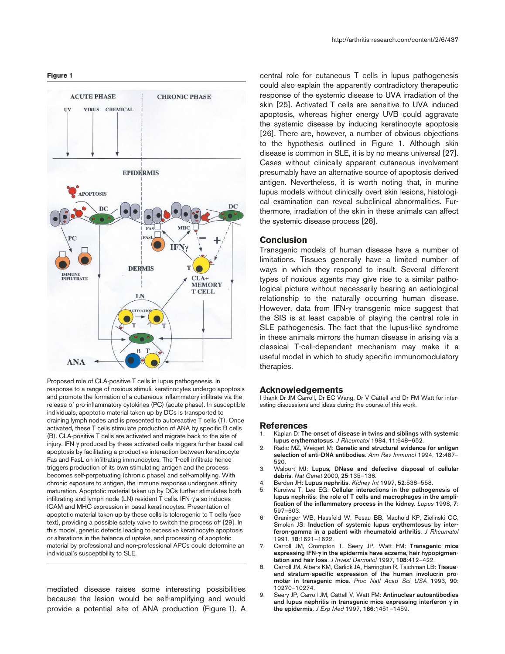#### **Figure 1**



Proposed role of CLA-positive T cells in lupus pathogenesis. In response to a range of noxious stimuli, keratinocytes undergo apoptosis and promote the formation of a cutaneous inflammatory infiltrate via the release of pro-inflammatory cytokines (PC) (acute phase). In susceptible individuals, apoptotic material taken up by DCs is transported to draining lymph nodes and is presented to autoreactive T cells (T). Once activated, these T cells stimulate production of ANA by specific B cells (B). CLA-positive T cells are activated and migrate back to the site of injury. IFN-γ produced by these activated cells triggers further basal cell apoptosis by facilitating a productive interaction between keratinocyte Fas and FasL on infiltrating immunocytes. The T-cell infiltrate hence triggers production of its own stimulating antigen and the process becomes self-perpetuating (chronic phase) and self-amplifying. With chronic exposure to antigen, the immune response undergoes affinity maturation. Apoptotic material taken up by DCs further stimulates both infiltrating and lymph node (LN) resident T cells. IFN-γ also induces ICAM and MHC expression in basal keratinocytes. Presentation of apoptotic material taken up by these cells is tolerogenic to T cells (see text), providing a possible safety valve to switch the process off [29]. In this model, genetic defects leading to excessive keratinocyte apoptosis or alterations in the balance of uptake, and processing of apoptotic material by professional and non-professional APCs could determine an individual's susceptibility to SLE.

mediated disease raises some interesting possibilities because the lesion would be self-amplifying and would provide a potential site of ANA production (Figure 1). A

central role for cutaneous T cells in lupus pathogenesis could also explain the apparently contradictory therapeutic response of the systemic disease to UVA irradiation of the skin [25]. Activated T cells are sensitive to UVA induced apoptosis, whereas higher energy UVB could aggravate the systemic disease by inducing keratinocyte apoptosis [26]. There are, however, a number of obvious objections to the hypothesis outlined in Figure 1. Although skin disease is common in SLE, it is by no means universal [27]. Cases without clinically apparent cutaneous involvement presumably have an alternative source of apoptosis derived antigen. Nevertheless, it is worth noting that, in murine lupus models without clinically overt skin lesions, histological examination can reveal subclinical abnormalities. Furthermore, irradiation of the skin in these animals can affect the systemic disease process [28].

### **Conclusion**

Transgenic models of human disease have a number of limitations. Tissues generally have a limited number of ways in which they respond to insult. Several different types of noxious agents may give rise to a similar pathological picture without necessarily bearing an aetiological relationship to the naturally occurring human disease. However, data from IFN-γ transgenic mice suggest that the SIS is at least capable of playing the central role in SLE pathogenesis. The fact that the lupus-like syndrome in these animals mirrors the human disease in arising via a classical T-cell-dependent mechanism may make it a useful model in which to study specific immunomodulatory therapies.

#### **Acknowledgements**

I thank Dr JM Carroll, Dr EC Wang, Dr V Cattell and Dr FM Watt for interesting discussions and ideas during the course of this work.

#### **References**

- 1. Kaplan D: **The onset of disease in twins and siblings with systemic lupus erythematosus**. *J Rheumatol* 1984, **11**:648–652.
- 2. Radic MZ, Weigert M: **Genetic and structural evidence for antigen selection of anti-DNA antibodies**. *Ann Rev Immunol* 1994, **12**:487– 520.
- 3. Walport MJ: **Lupus, DNase and defective disposal of cellular debris**. *Nat Genet* 2000, **25**:135–136.
- 4. Berden JH: **Lupus nephritis**. *Kidney Int* 1997, **52**:538–558.
- 5. Kuroiwa T, Lee EG: **Cellular interactions in the pathogenesis of lupus nephritis**: **the role of T cells and macrophages in the amplification of the inflammatory process in the kidney**. *Lupus* 1998, **7**: 597–603.
- 6. Graninger WB, Hassfeld W, Pesau BB, Machold KP, Zielinski CC, Smolen JS: **Induction of systemic lupus erythemtosus by interferon-gamma in a patient with rheumatoid arthritis**. *J Rheumatol* 1991, **18**:1621–1622.
- 7. Carroll JM, Crompton T, Seery JP, Watt FM: **Transgenic mice expressing IFN-**γ **in the epidermis have eczema, hair hypopigmentation and hair loss**. *J Invest Dermatol* 1997, **108**:412–422.
- 8. Carroll JM, Albers KM, Garlick JA, Harrington R, Taichman LB: **Tissueand stratum-specific expression of the human involucrin promoter in transgenic mice**. *Proc Natl Acad Sci USA* 1993, **90**: 10270–10274.
- 9. Seery JP, Carroll JM, Cattell V, Watt FM: **Antinuclear autoantibodies and lupus nephritis in transgenic mice expressing interferon** γ **in the epidermis**. *J Exp Med* 1997, **186**:1451–1459.